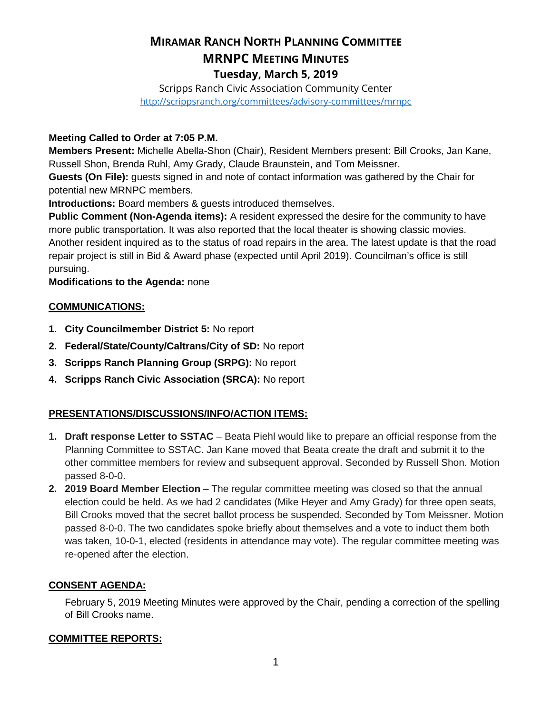# **MIRAMAR RANCH NORTH PLANNING COMMITTEE MRNPC MEETING MINUTES Tuesday, March 5, 2019**

Scripps Ranch Civic Association Community Center <http://scrippsranch.org/committees/advisory-committees/mrnpc>

#### **Meeting Called to Order at 7:05 P.M.**

**Members Present:** Michelle Abella-Shon (Chair), Resident Members present: Bill Crooks, Jan Kane, Russell Shon, Brenda Ruhl, Amy Grady, Claude Braunstein, and Tom Meissner.

**Guests (On File):** guests signed in and note of contact information was gathered by the Chair for potential new MRNPC members.

**Introductions:** Board members & guests introduced themselves.

**Public Comment (Non-Agenda items):** A resident expressed the desire for the community to have more public transportation. It was also reported that the local theater is showing classic movies. Another resident inquired as to the status of road repairs in the area. The latest update is that the road repair project is still in Bid & Award phase (expected until April 2019). Councilman's office is still pursuing.

**Modifications to the Agenda:** none

### **COMMUNICATIONS:**

- **1. City Councilmember District 5:** No report
- **2. Federal/State/County/Caltrans/City of SD:** No report
- **3. Scripps Ranch Planning Group (SRPG):** No report
- **4. Scripps Ranch Civic Association (SRCA):** No report

#### **PRESENTATIONS/DISCUSSIONS/INFO/ACTION ITEMS:**

- **1. Draft response Letter to SSTAC**  Beata Piehl would like to prepare an official response from the Planning Committee to SSTAC. Jan Kane moved that Beata create the draft and submit it to the other committee members for review and subsequent approval. Seconded by Russell Shon. Motion passed 8-0-0.
- **2. 2019 Board Member Election** The regular committee meeting was closed so that the annual election could be held. As we had 2 candidates (Mike Heyer and Amy Grady) for three open seats, Bill Crooks moved that the secret ballot process be suspended. Seconded by Tom Meissner. Motion passed 8-0-0. The two candidates spoke briefly about themselves and a vote to induct them both was taken, 10-0-1, elected (residents in attendance may vote). The regular committee meeting was re-opened after the election.

## **CONSENT AGENDA:**

February 5, 2019 Meeting Minutes were approved by the Chair, pending a correction of the spelling of Bill Crooks name.

#### **COMMITTEE REPORTS:**